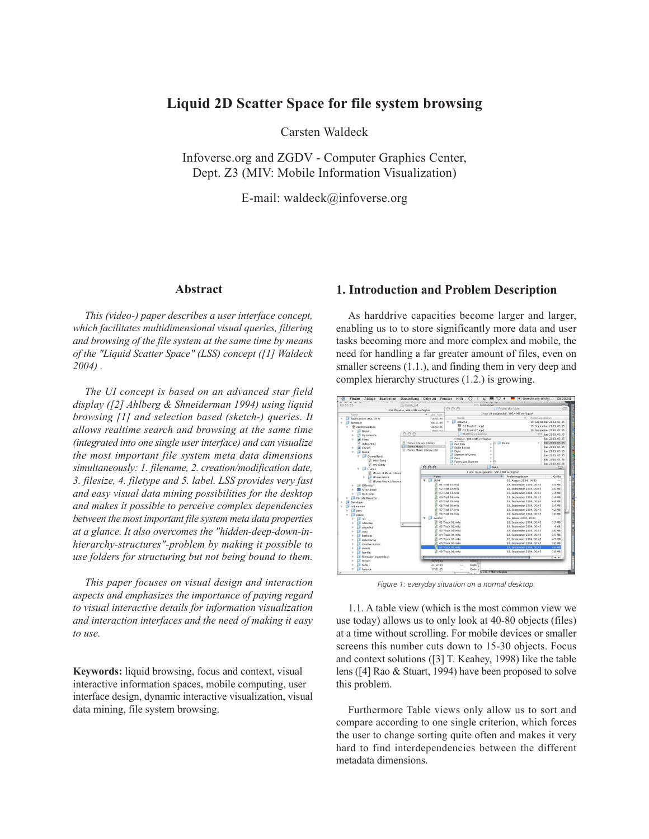# **Liquid 2D Scatter Space for file system browsing**

Carsten Waldeck

Infoverse.org and ZGDV - Computer Graphics Center, Dept. Z3 (MIV: Mobile Information Visualization)

E-mail: waldeck@infoverse.org

#### **Abstract**

*This (video-) paper describes a user interface concept, which facilitates multidimensional visual queries, filtering and browsing of the file system at the same time by means of the "Liquid Scatter Space" (LSS) concept ([1] Waldeck 2004) .*

*The UI concept is based on an advanced star field display ([2] Ahlberg & Shneiderman 1994) using liquid browsing [1] and selection based (sketch-) queries. It allows realtime search and browsing at the same time (integrated into one single user interface) and can visualize the most important file system meta data dimensions simultaneously: 1. filename, 2. creation/modification date, 3. filesize, 4. filetype and 5. label. LSS provides very fast and easy visual data mining possibilities for the desktop and makes it possible to perceive complex dependencies between the most important file system meta data properties at a glance. It also overcomes the "hidden-deep-down-inhierarchy-structures"-problem by making it possible to use folders for structuring but not being bound to them.*

*This paper focuses on visual design and interaction aspects and emphasizes the importance of paying regard to visual interactive details for information visualization and interaction interfaces and the need of making it easy to use.*

**Keywords:** liquid browsing, focus and context, visual interactive information spaces, mobile computing, user interface design, dynamic interactive visualization, visual data mining, file system browsing.

#### **1. Introduction and Problem Description**

As harddrive capacities become larger and larger, enabling us to to store significantly more data and user tasks becoming more and more complex and mobile, the need for handling a far greater amount of files, even on smaller screens  $(1.1.)$ , and finding them in very deep and complex hierarchy structures (1.2.) is growing.



*Figure 1: everyday situation on a normal desktop.*

1.1. A table view (which is the most common view we use today) allows us to only look at 40-80 objects (files) at a time without scrolling. For mobile devices or smaller screens this number cuts down to 15-30 objects. Focus and context solutions ([3] T. Keahey, 1998) like the table lens ([4] Rao & Stuart, 1994) have been proposed to solve this problem.

Furthermore Table views only allow us to sort and compare according to one single criterion, which forces the user to change sorting quite often and makes it very hard to find interdependencies between the different metadata dimensions.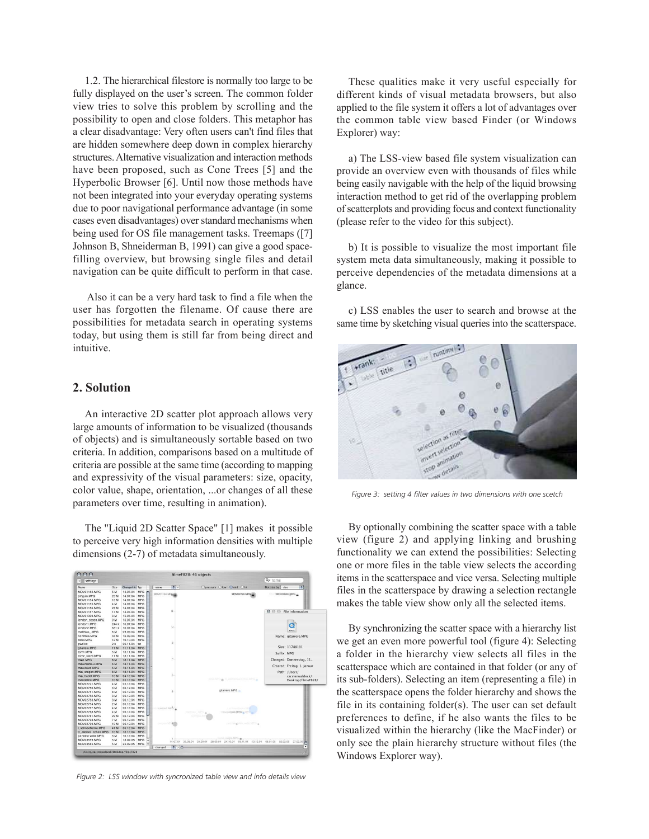1.2. The hierarchical filestore is normally too large to be fully displayed on the user's screen. The common folder view tries to solve this problem by scrolling and the possibility to open and close folders. This metaphor has a clear disadvantage: Very often users can't find files that are hidden somewhere deep down in complex hierarchy structures. Alternative visualization and interaction methods have been proposed, such as Cone Trees [5] and the Hyperbolic Browser [6]. Until now those methods have not been integrated into your everyday operating systems due to poor navigational performance advantage (in some cases even disadvantages) over standard mechanisms when being used for OS file management tasks. Treemaps ([7] Johnson B, Shneiderman B, 1991) can give a good spacefilling overview, but browsing single files and detail navigation can be quite difficult to perform in that case.

 Also it can be a very hard task to find a file when the user has forgotten the filename. Of cause there are possibilities for metadata search in operating systems today, but using them is still far from being direct and intuitive.

#### **2. Solution**

An interactive 2D scatter plot approach allows very large amounts of information to be visualized (thousands of objects) and is simultaneously sortable based on two criteria. In addition, comparisons based on a multitude of criteria are possible at the same time (according to mapping and expressivity of the visual parameters: size, opacity, color value, shape, orientation, ...or changes of all these parameters over time, resulting in animation).

The "Liquid 2D Scatter Space" [1] makes it possible to perceive very high information densities with multiple dimensions (2-7) of metadata simultaneously.



*Figure 2: LSS window with syncronized table view and info details view*

These qualities make it very useful especially for different kinds of visual metadata browsers, but also applied to the file system it offers a lot of advantages over the common table view based Finder (or Windows Explorer) way:

a) The LSS-view based file system visualization can provide an overview even with thousands of files while being easily navigable with the help of the liquid browsing interaction method to get rid of the overlapping problem of scatterplots and providing focus and context functionality (please refer to the video for this subject).

b) It is possible to visualize the most important file system meta data simultaneously, making it possible to perceive dependencies of the metadata dimensions at a glance.

c) LSS enables the user to search and browse at the same time by sketching visual queries into the scatterspace.



*Figure 3: setting 4 filter values in two dimensions with one scetch*

By optionally combining the scatter space with a table view (figure 2) and applying linking and brushing functionality we can extend the possibilities: Selecting one or more files in the table view selects the according items in the scatterspace and vice versa. Selecting multiple files in the scatterspace by drawing a selection rectangle makes the table view show only all the selected items.

By synchronizing the scatter space with a hierarchy list we get an even more powerful tool (figure 4): Selecting a folder in the hierarchy view selects all files in the scatterspace which are contained in that folder (or any of its sub-folders). Selecting an item (representing a file) in the scatterspace opens the folder hierarchy and shows the file in its containing folder(s). The user can set default preferences to define, if he also wants the files to be visualized within the hierarchy (like the MacFinder) or only see the plain hierarchy structure without files (the Windows Explorer way).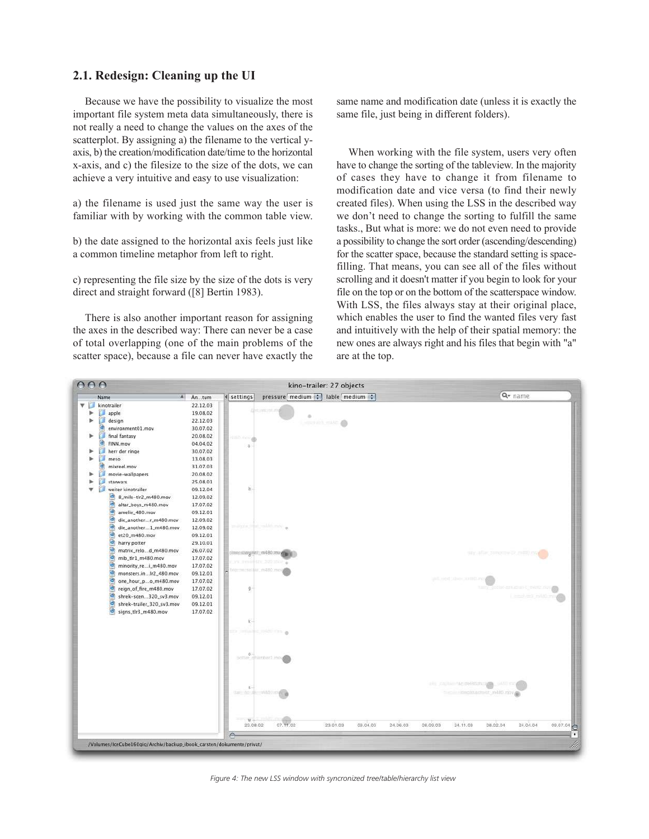# **2.1. Redesign: Cleaning up the UI**

Because we have the possibility to visualize the most important file system meta data simultaneously, there is not really a need to change the values on the axes of the scatterplot. By assigning a) the filename to the vertical yaxis, b) the creation/modification date/time to the horizontal x-axis, and c) the filesize to the size of the dots, we can achieve a very intuitive and easy to use visualization:

a) the filename is used just the same way the user is familiar with by working with the common table view.

b) the date assigned to the horizontal axis feels just like a common timeline metaphor from left to right.

c) representing the file size by the size of the dots is very direct and straight forward ([8] Bertin 1983).

There is also another important reason for assigning the axes in the described way: There can never be a case of total overlapping (one of the main problems of the scatter space), because a file can never have exactly the same name and modification date (unless it is exactly the same file, just being in different folders).

When working with the file system, users very often have to change the sorting of the tableview. In the majority of cases they have to change it from filename to modification date and vice versa (to find their newly created files). When using the LSS in the described way we don't need to change the sorting to fulfill the same tasks., But what is more: we do not even need to provide a possibility to change the sort order (ascending/descending) for the scatter space, because the standard setting is spacefilling. That means, you can see all of the files without scrolling and it doesn't matter if you begin to look for your file on the top or on the bottom of the scatterspace window. With LSS, the files always stay at their original place, which enables the user to find the wanted files very fast and intuitively with the help of their spatial memory: the new ones are always right and his files that begin with "a" are at the top.



*Figure 4: The new LSS window with syncronized tree/table/hierarchy list view*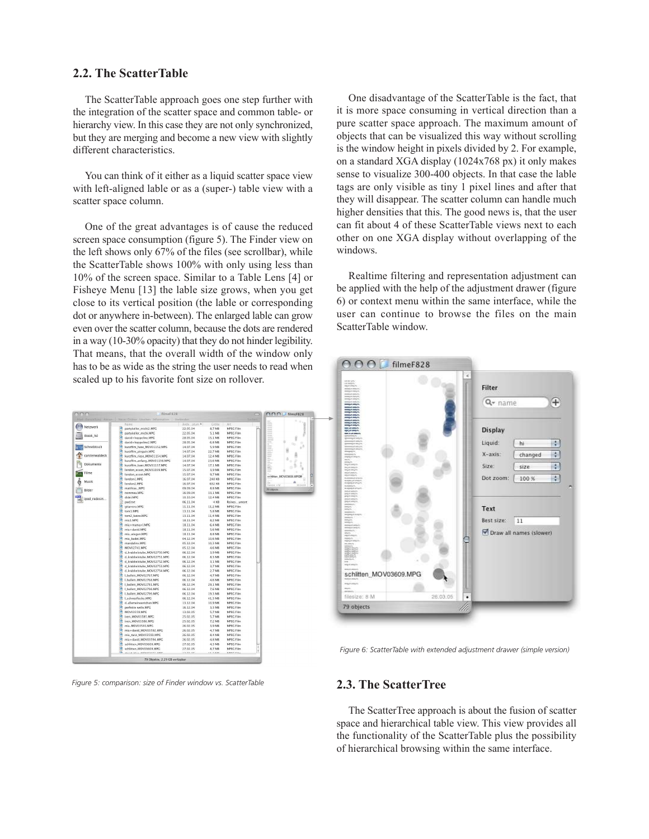# **2.2. The ScatterTable**

The ScatterTable approach goes one step further with the integration of the scatter space and common table- or hierarchy view. In this case they are not only synchronized, but they are merging and become a new view with slightly different characteristics.

You can think of it either as a liquid scatter space view with left-aligned lable or as a (super-) table view with a scatter space column.

One of the great advantages is of cause the reduced screen space consumption (figure 5). The Finder view on the left shows only 67% of the files (see scrollbar), while the ScatterTable shows 100% with only using less than 10% of the screen space. Similar to a Table Lens [4] or Fisheye Menu [13] the lable size grows, when you get close to its vertical position (the lable or corresponding dot or anywhere in-between). The enlarged lable can grow even over the scatter column, because the dots are rendered in a way (10-30% opacity) that they do not hinder legibility. That means, that the overall width of the window only has to be as wide as the string the user needs to read when scaled up to his favorite font size on rollover.

|                        |                                                                                |            |               |                  | 000<br>filmeF828          |
|------------------------|--------------------------------------------------------------------------------|------------|---------------|------------------|---------------------------|
|                        | Pfad Darstellung Aktion : Neuer Ordner Löschen Information : Verbinden<br>chen |            |               |                  |                           |
|                        | Name                                                                           | Andeatum 4 | Größe         | Art              | l                         |
| Netzwerk               | ø<br>partykeller_michi2.MPG                                                    | 22.05.04   | 8.7 MB        | <b>MPEG Film</b> |                           |
| ibook hd               | ø<br>partykeller_michi.MPG                                                     | 22.05.04   | 5.1 MB        | <b>MPEG Film</b> |                           |
|                        | ø<br>david+hoppeline.MPG                                                       | 28.05.04   | 15.1 MB       | <b>MPEG Film</b> |                           |
|                        | Э<br>david+hoppeline2.MPG                                                      | 28.05.04   | 6.8 MB        | <b>MPEG Film</b> |                           |
| Schreibtisch           | 9<br>kurzfilm_hase_MOV01152.MPG                                                | 14.07.04   | 5,9 MB        | <b>MPEG Film</b> |                           |
|                        | ø<br>kurzfilm_pinguin,MPG                                                      | 14.07.04   | 22.7 MB       | <b>MPEG Film</b> |                           |
| carstenwaldeck         | a<br>kurzfilm_riese_MOV01154.MPG                                               | 14.07.04   | 12,4 MB       | <b>MPEG Film</b> |                           |
| Dokumente              | a<br>kurzfilm_anfang_MOV01156.MPG                                              | 14.07.04   | 23.6 MB       | <b>MPEG Film</b> |                           |
|                        | ø<br>kurzfilm_baer_MOV01157.MPG                                                | 14.07.04   | 17.1 MB       | <b>MPEG Film</b> |                           |
| Filme                  | ø<br>london_essen_MOV01309.MPG                                                 | 15.07.04   | 3,9 MB        | <b>MPEG Film</b> |                           |
|                        | ø<br>london_essen.MPG                                                          | 15.07.04   | 9.7 MB        | <b>MPEG Film</b> | schilten MOV03608.MPGI    |
| Musik                  | ø<br>london1.MPG                                                               | 16.07.04   | 248 KB        | <b>MPEG Film</b> |                           |
|                        | G<br>london2.MPG                                                               | 16.07.04   | 632 KB        | <b>MPEG Film</b> | filosopo: 4 M<br>30.04.05 |
| Bilder<br>ipod redesin | matthias_.MPG                                                                  | 09.09.04   | <b>8,8 MB</b> | <b>MPEG Film</b> | 79 objects                |
|                        | ø<br>nommea.MPG                                                                | 16.09.04   | 33,1 MB       | <b>MPEG Film</b> |                           |
|                        | a<br>didei.MPG                                                                 | 10.10.04   | 12,4 MB       | <b>MPEG Film</b> |                           |
|                        | pwd.txt                                                                        | 06.11.04   | 4 KB          | Reinesument      |                           |
|                        | ā<br>gitarrero.MPG                                                             | 11.11.04   | 11,2 MB       | <b>MPEG Film</b> |                           |
|                        | G<br>tom1.MPG                                                                  | 13.11.04   | 5.8 MB        | <b>MPEG Film</b> |                           |
|                        | a<br>tom2_katze.MPG                                                            | 13.11.04   | 11.4 MB       | <b>MPEG Film</b> |                           |
|                        | ø<br>mia1.MPG                                                                  | 18.11.04   | 8,2 MB        | <b>MPEG Film</b> |                           |
|                        | a<br>mia+mama+l.MPG                                                            | 18.11.04   | 6.4 MB        | <b>MPEG Film</b> |                           |
|                        | ø<br>mia+david.MPC                                                             | 18.11.04   | 5,6 MB        | <b>MPEG Film</b> |                           |
|                        | a<br>mia_wiegen.MPG                                                            | 18,11.04   | 8.8 MB        | <b>MPEG Film</b> |                           |
|                        | mia_badet.MPG                                                                  | 04.12.04   | 10,6 MB       | <b>MPEG Film</b> |                           |
|                        | ø<br>mandaline.MPG                                                             | 05.12.04   | 10.3 MB       | <b>MPEG Film</b> |                           |
|                        | ø<br>MOV02741.MPG                                                              | 05.12.04   | 4,6 MB        | <b>MPEG Film</b> |                           |
|                        | ø<br>d_krabbelstube_MOV02750.MPG                                               | 06.12.04   | 3.9 MB        | MPEG Film        |                           |
|                        | Э<br>d_krabbelstube_MOV02751.MPG                                               | 06.12.04   | 8,3 MB        | <b>MPEG Film</b> |                           |
|                        | ø<br>d.krabbelstube.MOV02752.MPG                                               | 06.12.04   | 3.1 MB        | <b>MPEG Film</b> |                           |
|                        | ø<br>d_krabbelstube_MOV02753.MPG                                               | 06.12.04   | 3,7 MB        | <b>MPEG Film</b> |                           |
|                        | ø<br>d. krabbelstube_MOV02754.MPG                                              | 06.12.04   | 2.7 MB        | <b>MPEG Film</b> |                           |
|                        | а<br>I_ballett_MOV02767.MPG                                                    | 06.12.04   | 4,7 MB        | <b>MPEG Film</b> |                           |
|                        | I_ballett_MOV02768.MPG                                                         | 06.12.04   | 4.6 MB        | <b>MPEG Film</b> |                           |
|                        | ø<br>1_ballett_MOV02781.MPG                                                    | 06.12.04   | 29.1 MB       | <b>MPEG Film</b> |                           |
|                        | ø<br>I_ballett_MOV02798.MPG                                                    | 06.12.04   | 7,6 MB        | <b>MPEG Film</b> |                           |
|                        | G<br>1.ballett_MOV02799.MPG                                                    | 06.12.04   | 19.3 MB       | <b>MPEG Film</b> |                           |
|                        | I schneeflocke.MPG                                                             | 06.12.04   | 41,3 MB       | <b>MPEG Film</b> |                           |
|                        | ø<br>d_allemeineentchen.MPG                                                    | 13.12.04   | 10,9 MB       | MPEG Film        |                           |
|                        | a<br>perfekte welle.MPG                                                        | 16.12.04   | 3,3 MB        | <b>MPEG Film</b> |                           |
|                        | ø<br>MOV03559, MPG                                                             | 13.02.05   | 5,7 MB        | <b>MPEG Film</b> |                           |
|                        | G<br>iven_MOV03585.MPG                                                         | 25.02.05   | 5,7 MB        | <b>MPEG Film</b> |                           |
|                        | ø<br>iven.MOV03586.MPG                                                         | 25.02.05   | 7.2 MB        | <b>MPEG Film</b> |                           |
|                        | a<br>mia_MOV03591.MPG                                                          | 26.02.05   | 3,9 MB        | <b>MPEG Film</b> |                           |
|                        | ø<br>mia+david_MOV03592.MPG                                                    | 26.02.05   | 4,7 MB        | <b>MPEG Film</b> |                           |
|                        | a<br>mia_tanz_MOV03593.MPG                                                     | 26.02.05   | 8.4 MB        | <b>MPEG Film</b> |                           |
|                        | ø<br>mia+david_MOV03594.MPG                                                    | 26.02.05   | 4,8 MB        | <b>MPEG Film</b> |                           |
|                        | a<br>schlitten_MOV03608.MPG                                                    | 27.02.05   | 4.3 MB        | <b>MPEG Film</b> |                           |
|                        | 9<br>schlitten MOV03609.MPG                                                    | 27.02.05   | 8.7 MB        | <b>MPEG Film</b> |                           |
|                        | Audd May MOMMSCEC MBC                                                          | 13.03.05   | 11.5.10       | LEBECT FILL      |                           |
|                        | 79 Objekte, 2,29 GB verfügbar                                                  |            |               |                  |                           |

*Figure 5: comparison: size of Finder window vs. ScatterTable*

One disadvantage of the ScatterTable is the fact, that it is more space consuming in vertical direction than a pure scatter space approach. The maximum amount of objects that can be visualized this way without scrolling is the window height in pixels divided by 2. For example, on a standard XGA display (1024x768 px) it only makes sense to visualize 300-400 objects. In that case the lable tags are only visible as tiny 1 pixel lines and after that they will disappear. The scatter column can handle much higher densities that this. The good news is, that the user can fit about 4 of these ScatterTable views next to each other on one XGA display without overlapping of the windows.

Realtime filtering and representation adjustment can be applied with the help of the adjustment drawer (figure 6) or context menu within the same interface, while the user can continue to browse the files on the main ScatterTable window.



*Figure 6: ScatterTable with extended adjustment drawer (simple version)*

### **2.3. The ScatterTree**

The ScatterTree approach is about the fusion of scatter space and hierarchical table view. This view provides all the functionality of the ScatterTable plus the possibility of hierarchical browsing within the same interface.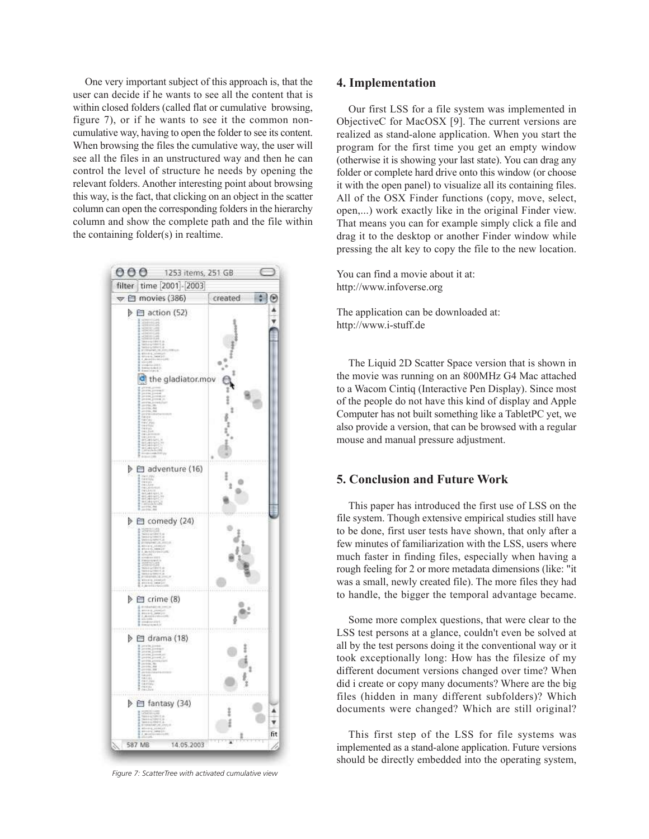One very important subject of this approach is, that the user can decide if he wants to see all the content that is within closed folders (called flat or cumulative browsing, figure 7), or if he wants to see it the common noncumulative way, having to open the folder to see its content. When browsing the files the cumulative way, the user will see all the files in an unstructured way and then he can control the level of structure he needs by opening the relevant folders. Another interesting point about browsing this way, is the fact, that clicking on an object in the scatter column can open the corresponding folders in the hierarchy column and show the complete path and the file within the containing folder(s) in realtime.



*Figure 7: ScatterTree with activated cumulative view*

#### **4. Implementation**

Our first LSS for a file system was implemented in ObjectiveC for MacOSX [9]. The current versions are realized as stand-alone application. When you start the program for the first time you get an empty window (otherwise it is showing your last state). You can drag any folder or complete hard drive onto this window (or choose it with the open panel) to visualize all its containing files. All of the OSX Finder functions (copy, move, select, open,...) work exactly like in the original Finder view. That means you can for example simply click a file and drag it to the desktop or another Finder window while pressing the alt key to copy the file to the new location.

You can find a movie about it at: http://www.infoverse.org

The application can be downloaded at: http://www.i-stuff.de

The Liquid 2D Scatter Space version that is shown in the movie was running on an 800MHz G4 Mac attached to a Wacom Cintiq (Interactive Pen Display). Since most of the people do not have this kind of display and Apple Computer has not built something like a TabletPC yet, we also provide a version, that can be browsed with a regular mouse and manual pressure adjustment.

## **5. Conclusion and Future Work**

This paper has introduced the first use of LSS on the file system. Though extensive empirical studies still have to be done, first user tests have shown, that only after a few minutes of familiarization with the LSS, users where much faster in finding files, especially when having a rough feeling for 2 or more metadata dimensions (like: "it was a small, newly created file). The more files they had to handle, the bigger the temporal advantage became.

Some more complex questions, that were clear to the LSS test persons at a glance, couldn't even be solved at all by the test persons doing it the conventional way or it took exceptionally long: How has the filesize of my different document versions changed over time? When did i create or copy many documents? Where are the big files (hidden in many different subfolders)? Which documents were changed? Which are still original?

This first step of the LSS for file systems was implemented as a stand-alone application. Future versions should be directly embedded into the operating system,